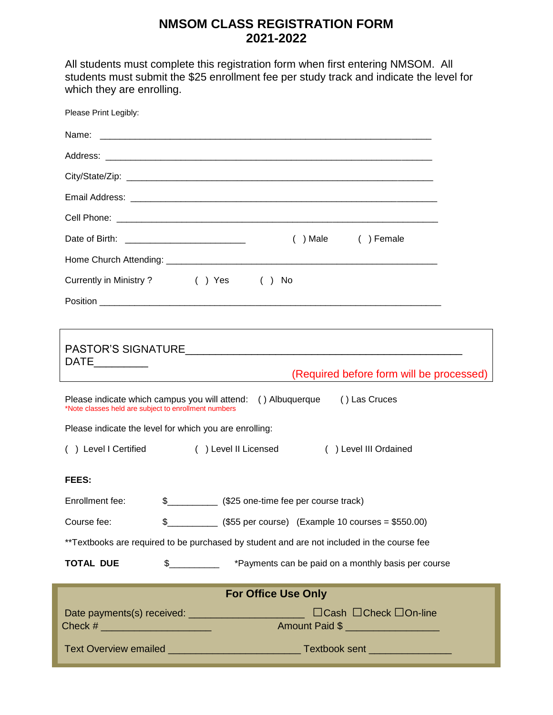# **NMSOM CLASS REGISTRATION FORM 2021-2022**

All students must complete this registration form when first entering NMSOM. All students must submit the \$25 enrollment fee per study track and indicate the level for which they are enrolling.

| Please Print Legibly:                                                                                                                                                                                                                                                                                                 |                                                                                                  |  |  |  |  |
|-----------------------------------------------------------------------------------------------------------------------------------------------------------------------------------------------------------------------------------------------------------------------------------------------------------------------|--------------------------------------------------------------------------------------------------|--|--|--|--|
|                                                                                                                                                                                                                                                                                                                       |                                                                                                  |  |  |  |  |
|                                                                                                                                                                                                                                                                                                                       |                                                                                                  |  |  |  |  |
|                                                                                                                                                                                                                                                                                                                       |                                                                                                  |  |  |  |  |
|                                                                                                                                                                                                                                                                                                                       |                                                                                                  |  |  |  |  |
|                                                                                                                                                                                                                                                                                                                       |                                                                                                  |  |  |  |  |
|                                                                                                                                                                                                                                                                                                                       | $( )$ Male<br>( ) Female<br>Date of Birth: _________________________________                     |  |  |  |  |
|                                                                                                                                                                                                                                                                                                                       |                                                                                                  |  |  |  |  |
|                                                                                                                                                                                                                                                                                                                       | Currently in Ministry? () Yes () No                                                              |  |  |  |  |
|                                                                                                                                                                                                                                                                                                                       |                                                                                                  |  |  |  |  |
|                                                                                                                                                                                                                                                                                                                       |                                                                                                  |  |  |  |  |
|                                                                                                                                                                                                                                                                                                                       |                                                                                                  |  |  |  |  |
| (Required before form will be processed)<br>Please indicate which campus you will attend: () Albuquerque () Las Cruces<br>*Note classes held are subject to enrollment numbers                                                                                                                                        |                                                                                                  |  |  |  |  |
|                                                                                                                                                                                                                                                                                                                       | Please indicate the level for which you are enrolling:                                           |  |  |  |  |
| () Level I Certified<br>( ) Level II Licensed<br>() Level III Ordained                                                                                                                                                                                                                                                |                                                                                                  |  |  |  |  |
| <b>FEES:</b>                                                                                                                                                                                                                                                                                                          |                                                                                                  |  |  |  |  |
| Enrollment fee:                                                                                                                                                                                                                                                                                                       |                                                                                                  |  |  |  |  |
| Course fee:                                                                                                                                                                                                                                                                                                           | $\frac{1}{2}$ (\$55 per course) (Example 10 courses = \$550.00)                                  |  |  |  |  |
| **Textbooks are required to be purchased by student and are not included in the course fee                                                                                                                                                                                                                            |                                                                                                  |  |  |  |  |
| <b>TOTAL DUE</b>                                                                                                                                                                                                                                                                                                      | \$_____________ *Payments can be paid on a monthly basis per course                              |  |  |  |  |
|                                                                                                                                                                                                                                                                                                                       | <b>For Office Use Only</b>                                                                       |  |  |  |  |
| Check # $\frac{1}{2}$ $\frac{1}{2}$ $\frac{1}{2}$ $\frac{1}{2}$ $\frac{1}{2}$ $\frac{1}{2}$ $\frac{1}{2}$ $\frac{1}{2}$ $\frac{1}{2}$ $\frac{1}{2}$ $\frac{1}{2}$ $\frac{1}{2}$ $\frac{1}{2}$ $\frac{1}{2}$ $\frac{1}{2}$ $\frac{1}{2}$ $\frac{1}{2}$ $\frac{1}{2}$ $\frac{1}{2}$ $\frac{1}{2}$ $\frac{1}{2}$ $\frac$ | Date payments(s) received: __________________________<br>□Cash □Check □On-line<br>Amount Paid \$ |  |  |  |  |
|                                                                                                                                                                                                                                                                                                                       | Text Overview emailed _________________________________Textbook sent ____________                |  |  |  |  |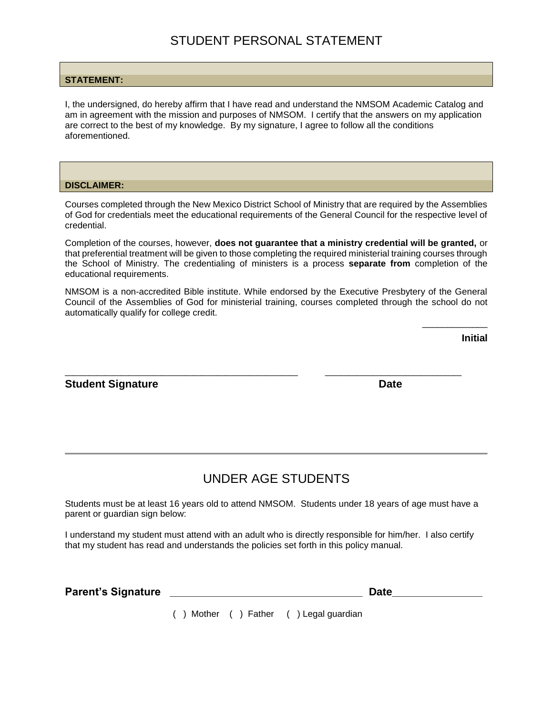### **STATEMENT:**

I, the undersigned, do hereby affirm that I have read and understand the NMSOM Academic Catalog and am in agreement with the mission and purposes of NMSOM. I certify that the answers on my application are correct to the best of my knowledge. By my signature, I agree to follow all the conditions aforementioned.

### **DISCLAIMER:**

Courses completed through the New Mexico District School of Ministry that are required by the Assemblies of God for credentials meet the educational requirements of the General Council for the respective level of credential.

Completion of the courses, however, **does not guarantee that a ministry credential will be granted,** or that preferential treatment will be given to those completing the required ministerial training courses through the School of Ministry. The credentialing of ministers is a process **separate from** completion of the educational requirements.

NMSOM is a non-accredited Bible institute. While endorsed by the Executive Presbytery of the General Council of the Assemblies of God for ministerial training, courses completed through the school do not automatically qualify for college credit.

**\_\_\_\_\_\_\_\_\_\_\_\_\_\_\_\_\_\_\_\_\_\_\_\_\_\_\_\_\_ \_\_\_\_\_\_\_\_\_\_\_\_\_\_\_\_\_**

**Initial**

\_\_\_\_\_\_\_\_\_\_\_\_\_

## **Student Signature Date**

## UNDER AGE STUDENTS

Students must be at least 16 years old to attend NMSOM. Students under 18 years of age must have a parent or guardian sign below:

I understand my student must attend with an adult who is directly responsible for him/her. I also certify that my student has read and understands the policies set forth in this policy manual.

| <b>Parent's Signature</b> | Date |
|---------------------------|------|
|                           |      |

( ) Mother ( ) Father ( ) Legal guardian